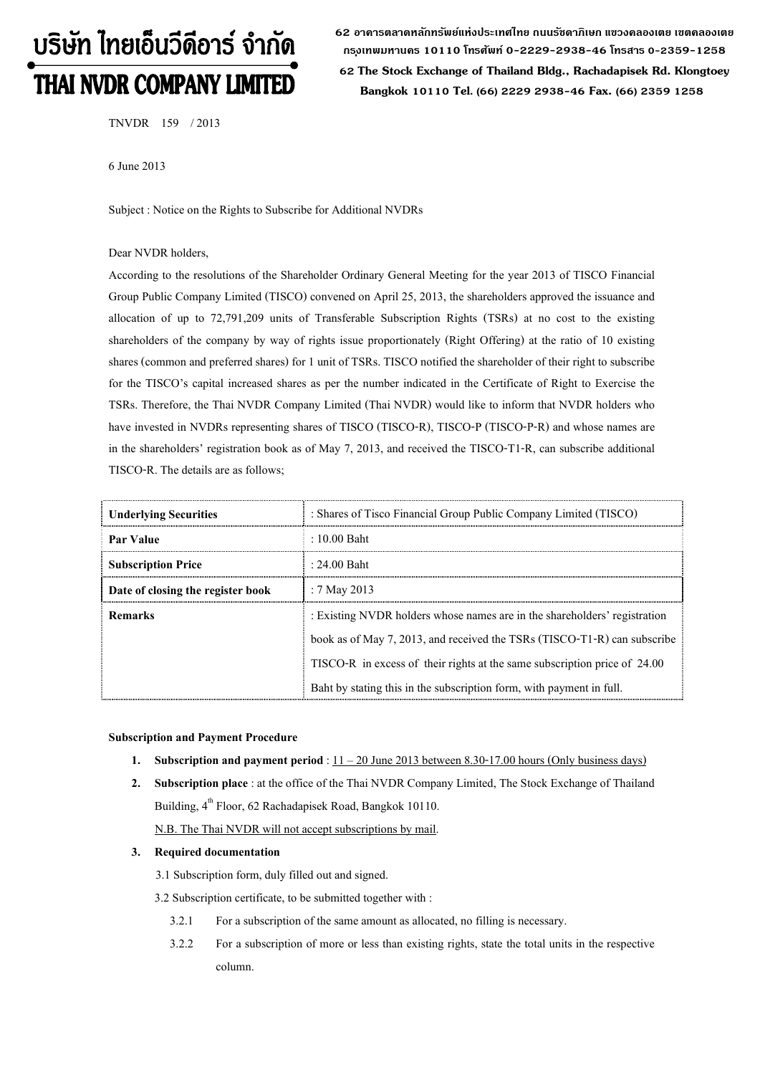# บริษัท ไทยเอ็นวีดีอาร์ จำกัด THAI NVDR COMPANY LIMITED

**62 อาคารตลาดหลักทรัพย์แห่งประเทศไทย ถนนรัชดาภิเษก แขวงคลองเตย เขตคลองเตย กร ุงเทพมหานคร 10110 โทรศัพท์ 0-2229-2938-46 โทรสาร 0-2359-1258 62 The Stock Exchange of Thailand Bldg., Rachadapisek Rd. Klongtoey Bangkok 10110 Tel. (66) 2229 2938-46 Fax. (66) 2359 1258**

TNVDR 159 / 2013

6 June 2013

Subject : Notice on the Rights to Subscribe for Additional NVDRs

#### Dear NVDR holders,

According to the resolutions of the Shareholder Ordinary General Meeting for the year 2013 of TISCO Financial Group Public Company Limited (TISCO) convened on April 25, 2013, the shareholders approved the issuance and allocation of up to 72,791,209 units of Transferable Subscription Rights (TSRs) at no cost to the existing shareholders of the company by way of rights issue proportionately (Right Offering) at the ratio of 10 existing shares (common and preferred shares) for 1 unit of TSRs. TISCO notified the shareholder of their right to subscribe for the TISCO's capital increased shares as per the number indicated in the Certificate of Right to Exercise the TSRs. Therefore, the Thai NVDR Company Limited (Thai NVDR) would like to inform that NVDR holders who have invested in NVDRs representing shares of TISCO (TISCO-R), TISCO-P (TISCO-P-R) and whose names are in the shareholders' registration book as of May 7, 2013, and received the TISCO-T1-R, can subscribe additional TISCO-R. The details are as follows;

| <b>Underlying Securities</b>      | : Shares of Tisco Financial Group Public Company Limited (TISCO)          |  |
|-----------------------------------|---------------------------------------------------------------------------|--|
| Par Value                         | $: 10.00$ Baht                                                            |  |
| <b>Subscription Price</b>         | $: 24.00$ Baht                                                            |  |
| Date of closing the register book | : 7 May 2013                                                              |  |
| Remarks                           | : Existing NVDR holders whose names are in the shareholders' registration |  |
|                                   | book as of May 7, 2013, and received the TSRs (TISCO-T1-R) can subscribe  |  |
|                                   | TISCO-R in excess of their rights at the same subscription price of 24.00 |  |
|                                   | Baht by stating this in the subscription form, with payment in full.      |  |

#### **Subscription and Payment Procedure**

- **1. Subscription and payment period** :  $11 20$  June 2013 between 8.30-17.00 hours (Only business days)
- **2. Subscription place** : at the office of the Thai NVDR Company Limited, The Stock Exchange of Thailand Building, 4<sup>th</sup> Floor, 62 Rachadapisek Road, Bangkok 10110. N.B. The Thai NVDR will not accept subscriptions by mail.

#### **3. Required documentation**

3.1 Subscription form, duly filled out and signed.

3.2 Subscription certificate, to be submitted together with :

- 3.2.1 For a subscription of the same amount as allocated, no filling is necessary.
- 3.2.2 For a subscription of more or less than existing rights, state the total units in the respective column.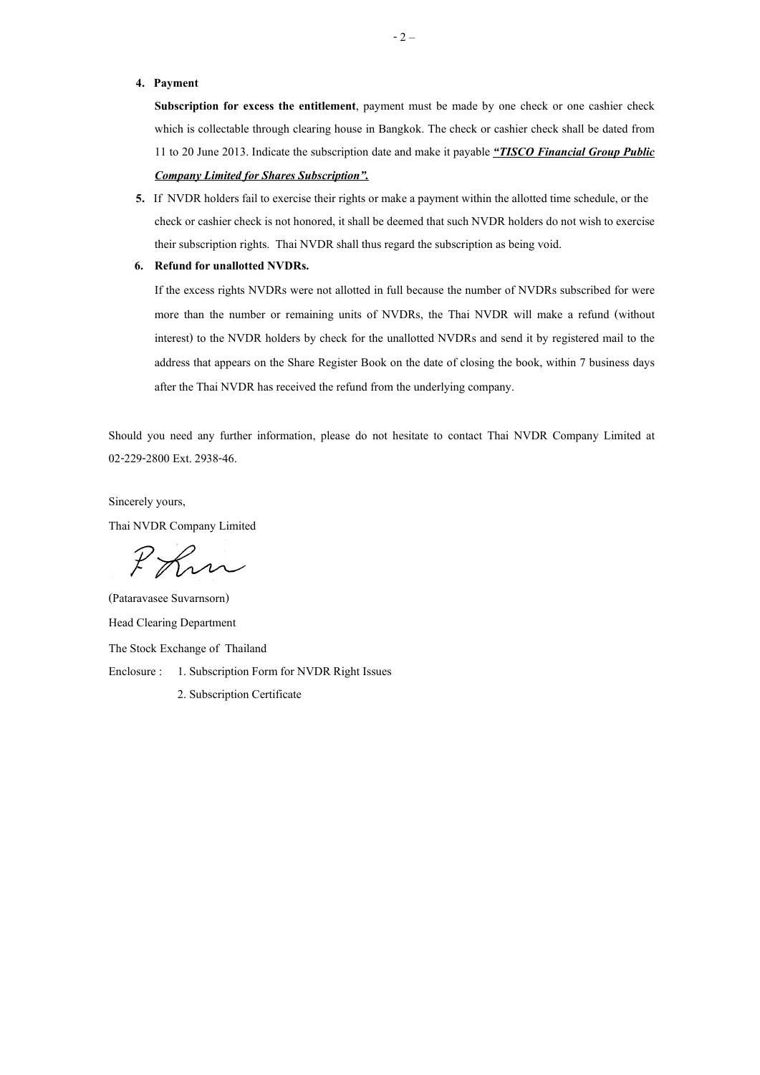#### **4. Payment**

**Subscription for excess the entitlement**, payment must be made by one check or one cashier check which is collectable through clearing house in Bangkok. The check or cashier check shall be dated from 11 to 20 June 2013. Indicate the subscription date and make it payable *"TISCO Financial Group Public Company Limited for Shares Subscription".*

## **5.** If NVDR holders fail to exercise their rights or make a payment within the allotted time schedule, or the check or cashier check is not honored, it shall be deemed that such NVDR holders do not wish to exercise their subscription rights. Thai NVDR shall thus regard the subscription as being void.

#### **6. Refund for unallotted NVDRs.**

If the excess rights NVDRs were not allotted in full because the number of NVDRs subscribed for were more than the number or remaining units of NVDRs, the Thai NVDR will make a refund (without interest) to the NVDR holders by check for the unallotted NVDRs and send it by registered mail to the address that appears on the Share Register Book on the date of closing the book, within 7 business days after the Thai NVDR has received the refund from the underlying company.

Should you need any further information, please do not hesitate to contact Thai NVDR Company Limited at 02-229-2800 Ext. 2938-46.

Sincerely yours, Thai NVDR Company Limited

Phin

(Pataravasee Suvarnsorn) Head Clearing Department The Stock Exchange of Thailand Enclosure : 1. Subscription Form for NVDR Right Issues 2. Subscription Certificate